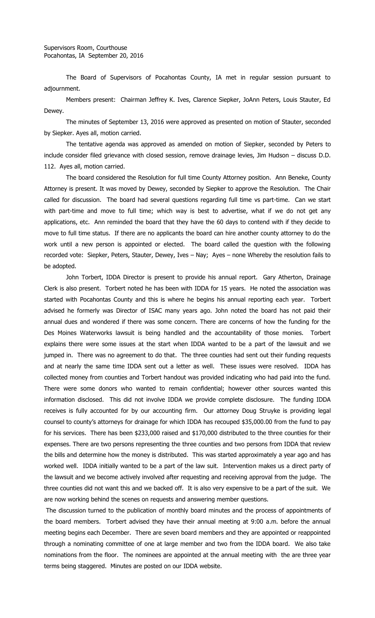The Board of Supervisors of Pocahontas County, IA met in regular session pursuant to adjournment.

Members present: Chairman Jeffrey K. Ives, Clarence Siepker, JoAnn Peters, Louis Stauter, Ed Dewey.

The minutes of September 13, 2016 were approved as presented on motion of Stauter, seconded by Siepker. Ayes all, motion carried.

The tentative agenda was approved as amended on motion of Siepker, seconded by Peters to include consider filed grievance with closed session, remove drainage levies, Jim Hudson – discuss D.D. 112. Ayes all, motion carried.

The board considered the Resolution for full time County Attorney position. Ann Beneke, County Attorney is present. It was moved by Dewey, seconded by Siepker to approve the Resolution. The Chair called for discussion. The board had several questions regarding full time vs part-time. Can we start with part-time and move to full time; which way is best to advertise, what if we do not get any applications, etc. Ann reminded the board that they have the 60 days to contend with if they decide to move to full time status. If there are no applicants the board can hire another county attorney to do the work until a new person is appointed or elected. The board called the question with the following recorded vote: Siepker, Peters, Stauter, Dewey, Ives – Nay; Ayes – none Whereby the resolution fails to be adopted.

John Torbert, IDDA Director is present to provide his annual report. Gary Atherton, Drainage Clerk is also present. Torbert noted he has been with IDDA for 15 years. He noted the association was started with Pocahontas County and this is where he begins his annual reporting each year. Torbert advised he formerly was Director of ISAC many years ago. John noted the board has not paid their annual dues and wondered if there was some concern. There are concerns of how the funding for the Des Moines Waterworks lawsuit is being handled and the accountability of those monies. Torbert explains there were some issues at the start when IDDA wanted to be a part of the lawsuit and we jumped in. There was no agreement to do that. The three counties had sent out their funding requests and at nearly the same time IDDA sent out a letter as well. These issues were resolved. IDDA has collected money from counties and Torbert handout was provided indicating who had paid into the fund. There were some donors who wanted to remain confidential; however other sources wanted this information disclosed. This did not involve IDDA we provide complete disclosure. The funding IDDA receives is fully accounted for by our accounting firm. Our attorney Doug Struyke is providing legal counsel to county's attorneys for drainage for which IDDA has recouped \$35,000.00 from the fund to pay for his services. There has been \$233,000 raised and \$170,000 distributed to the three counties for their expenses. There are two persons representing the three counties and two persons from IDDA that review the bills and determine how the money is distributed. This was started approximately a year ago and has worked well. IDDA initially wanted to be a part of the law suit. Intervention makes us a direct party of the lawsuit and we become actively involved after requesting and receiving approval from the judge. The three counties did not want this and we backed off. It is also very expensive to be a part of the suit. We are now working behind the scenes on requests and answering member questions.

The discussion turned to the publication of monthly board minutes and the process of appointments of the board members. Torbert advised they have their annual meeting at 9:00 a.m. before the annual meeting begins each December. There are seven board members and they are appointed or reappointed through a nominating committee of one at large member and two from the IDDA board. We also take nominations from the floor. The nominees are appointed at the annual meeting with the are three year terms being staggered. Minutes are posted on our IDDA website.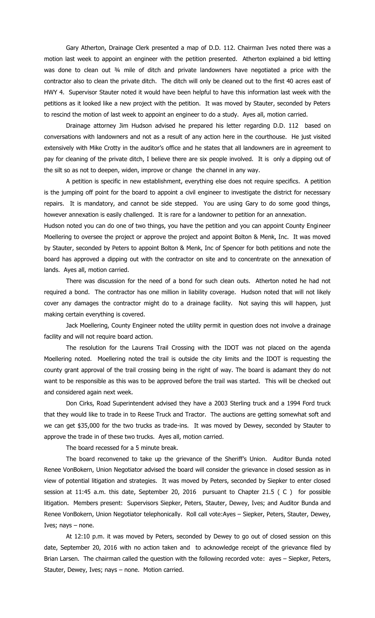Gary Atherton, Drainage Clerk presented a map of D.D. 112. Chairman Ives noted there was a motion last week to appoint an engineer with the petition presented. Atherton explained a bid letting was done to clean out 34 mile of ditch and private landowners have negotiated a price with the contractor also to clean the private ditch. The ditch will only be cleaned out to the first 40 acres east of HWY 4. Supervisor Stauter noted it would have been helpful to have this information last week with the petitions as it looked like a new project with the petition. It was moved by Stauter, seconded by Peters to rescind the motion of last week to appoint an engineer to do a study. Ayes all, motion carried.

Drainage attorney Jim Hudson advised he prepared his letter regarding D.D. 112 based on conversations with landowners and not as a result of any action here in the courthouse. He just visited extensively with Mike Crotty in the auditor's office and he states that all landowners are in agreement to pay for cleaning of the private ditch, I believe there are six people involved. It is only a dipping out of the silt so as not to deepen, widen, improve or change the channel in any way.

A petition is specific in new establishment, everything else does not require specifics. A petition is the jumping off point for the board to appoint a civil engineer to investigate the district for necessary repairs. It is mandatory, and cannot be side stepped. You are using Gary to do some good things, however annexation is easily challenged. It is rare for a landowner to petition for an annexation.

Hudson noted you can do one of two things, you have the petition and you can appoint County Engineer Moellering to oversee the project or approve the project and appoint Bolton & Menk, Inc. It was moved by Stauter, seconded by Peters to appoint Bolton & Menk, Inc of Spencer for both petitions and note the board has approved a dipping out with the contractor on site and to concentrate on the annexation of lands. Ayes all, motion carried.

There was discussion for the need of a bond for such clean outs. Atherton noted he had not required a bond. The contractor has one million in liability coverage. Hudson noted that will not likely cover any damages the contractor might do to a drainage facility. Not saying this will happen, just making certain everything is covered.

Jack Moellering, County Engineer noted the utility permit in question does not involve a drainage facility and will not require board action.

The resolution for the Laurens Trail Crossing with the IDOT was not placed on the agenda Moellering noted. Moellering noted the trail is outside the city limits and the IDOT is requesting the county grant approval of the trail crossing being in the right of way. The board is adamant they do not want to be responsible as this was to be approved before the trail was started. This will be checked out and considered again next week.

Don Cirks, Road Superintendent advised they have a 2003 Sterling truck and a 1994 Ford truck that they would like to trade in to Reese Truck and Tractor. The auctions are getting somewhat soft and we can get \$35,000 for the two trucks as trade-ins. It was moved by Dewey, seconded by Stauter to approve the trade in of these two trucks. Ayes all, motion carried.

The board recessed for a 5 minute break.

The board reconvened to take up the grievance of the Sheriff's Union. Auditor Bunda noted Renee VonBokern, Union Negotiator advised the board will consider the grievance in closed session as in view of potential litigation and strategies. It was moved by Peters, seconded by Siepker to enter closed session at 11:45 a.m. this date, September 20, 2016 pursuant to Chapter 21.5 ( C ) for possible litigation. Members present: Supervisors Siepker, Peters, Stauter, Dewey, Ives; and Auditor Bunda and Renee VonBokern, Union Negotiator telephonically. Roll call vote:Ayes – Siepker, Peters, Stauter, Dewey, Ives; nays – none.

At 12:10 p.m. it was moved by Peters, seconded by Dewey to go out of closed session on this date, September 20, 2016 with no action taken and to acknowledge receipt of the grievance filed by Brian Larsen. The chairman called the question with the following recorded vote: ayes – Siepker, Peters, Stauter, Dewey, Ives; nays – none. Motion carried.